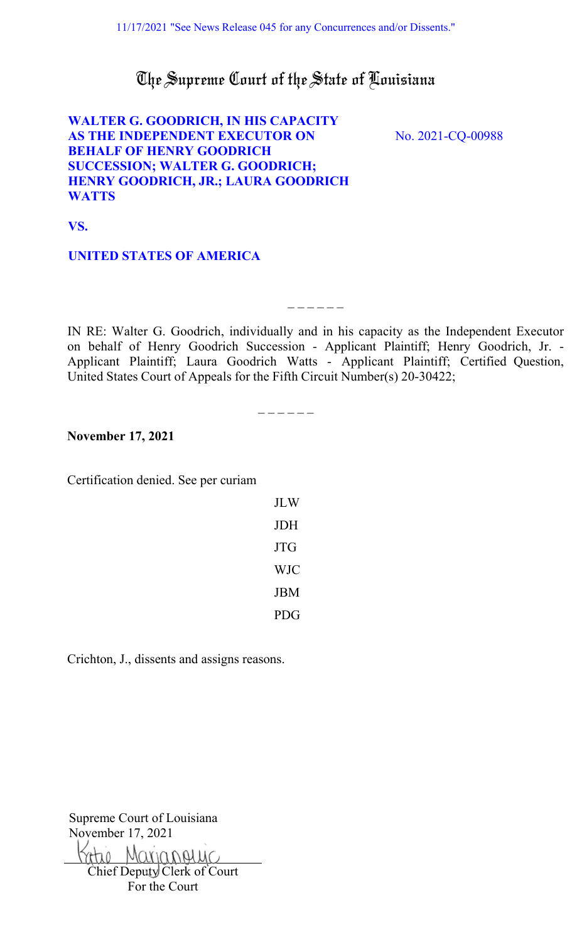# The Supreme Court of the State of Louisiana

# **WALTER G. GOODRICH, IN HIS CAPACITY AS THE INDEPENDENT EXECUTOR ON BEHALF OF HENRY GOODRICH SUCCESSION; WALTER G. GOODRICH; [HENRY GOODRICH, JR.; LAURA GOODRICH](#page-1-0)  WATTS**

No. 2021-CQ-00988

**VS.** 

# **UNITED STATES OF AMERICA**

IN RE: Walter G. Goodrich, individually and in his capacity as the Independent Executor on behalf of Henry Goodrich Succession - Applicant Plaintiff; Henry Goodrich, Jr. - Applicant Plaintiff; Laura Goodrich Watts - Applicant Plaintiff; Certified Question, United States Court of Appeals for the Fifth Circuit Number(s) 20-30422;

 $\overline{\phantom{a}}$   $\overline{\phantom{a}}$   $\overline{\phantom{a}}$   $\overline{\phantom{a}}$   $\overline{\phantom{a}}$   $\overline{\phantom{a}}$   $\overline{\phantom{a}}$   $\overline{\phantom{a}}$   $\overline{\phantom{a}}$   $\overline{\phantom{a}}$   $\overline{\phantom{a}}$   $\overline{\phantom{a}}$   $\overline{\phantom{a}}$   $\overline{\phantom{a}}$   $\overline{\phantom{a}}$   $\overline{\phantom{a}}$   $\overline{\phantom{a}}$   $\overline{\phantom{a}}$   $\overline{\$ 

 $-$ 

**November 17, 2021**

Certification denied. See per curiam

| JLW        |
|------------|
| JDH        |
| JTG        |
| <b>WJC</b> |
| JBM        |
| PDG        |

Crichton, J., dissents and assigns reasons.

Supreme Court of Louisiana November 17, 2021

Marianouic Chief Deputy Clerk of Court

For the Court